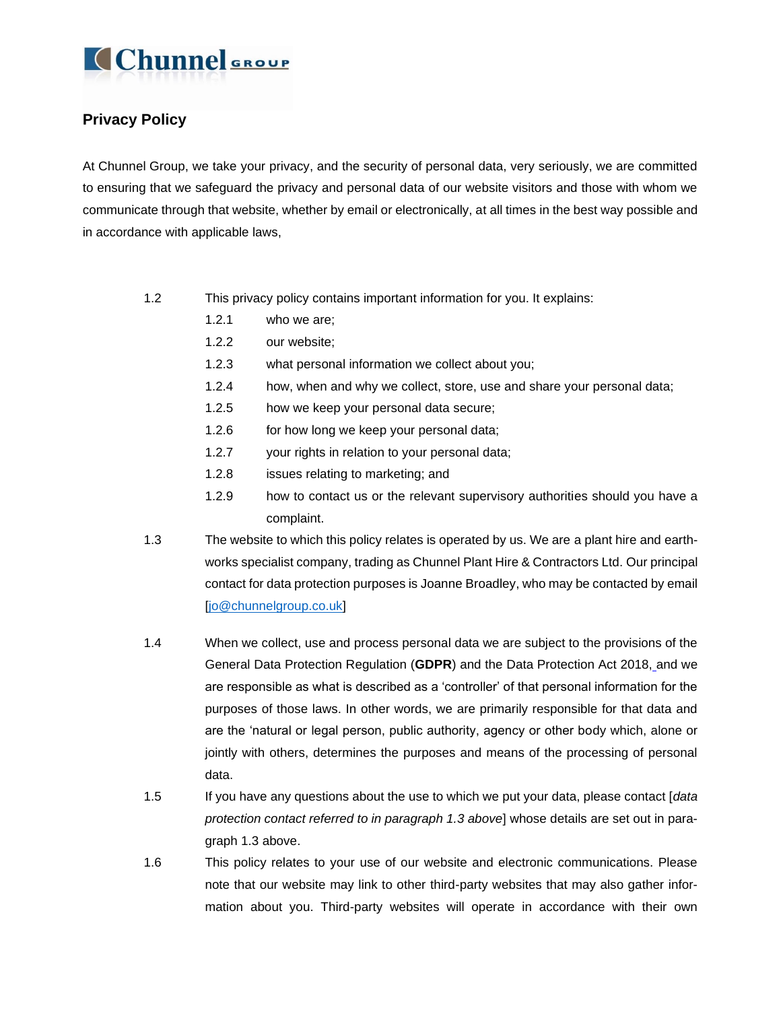

### **Privacy Policy**

At Chunnel Group, we take your privacy, and the security of personal data, very seriously, we are committed to ensuring that we safeguard the privacy and personal data of our website visitors and those with whom we communicate through that website, whether by email or electronically, at all times in the best way possible and in accordance with applicable laws,

- 1.2 This privacy policy contains important information for you. It explains:
	- 1.2.1 who we are;
	- 1.2.2 our website;
	- 1.2.3 what personal information we collect about you;
	- 1.2.4 how, when and why we collect, store, use and share your personal data;
	- 1.2.5 how we keep your personal data secure;
	- 1.2.6 for how long we keep your personal data;
	- 1.2.7 your rights in relation to your personal data;
	- 1.2.8 issues relating to marketing; and
	- 1.2.9 how to contact us or the relevant supervisory authorities should you have a complaint.
- 1.3 The website to which this policy relates is operated by us. We are a plant hire and earthworks specialist company, trading as Chunnel Plant Hire & Contractors Ltd. Our principal contact for data protection purposes is Joanne Broadley, who may be contacted by email [\[jo@chunnelgroup.co.uk\]](mailto:jo@chunnelgroup.co.uk)
- 1.4 When we collect, use and process personal data we are subject to the provisions of the General Data Protection Regulation (**GDPR**) and the Data Protection Act 2018, and we are responsible as what is described as a 'controller' of that personal information for the purposes of those laws. In other words, we are primarily responsible for that data and are the 'natural or legal person, public authority, agency or other body which, alone or jointly with others, determines the purposes and means of the processing of personal data.
- 1.5 If you have any questions about the use to which we put your data, please contact [*data protection contact referred to in paragraph 1.3 above*] whose details are set out in paragraph 1.3 above.
- 1.6 This policy relates to your use of our website and electronic communications. Please note that our website may link to other third-party websites that may also gather information about you. Third-party websites will operate in accordance with their own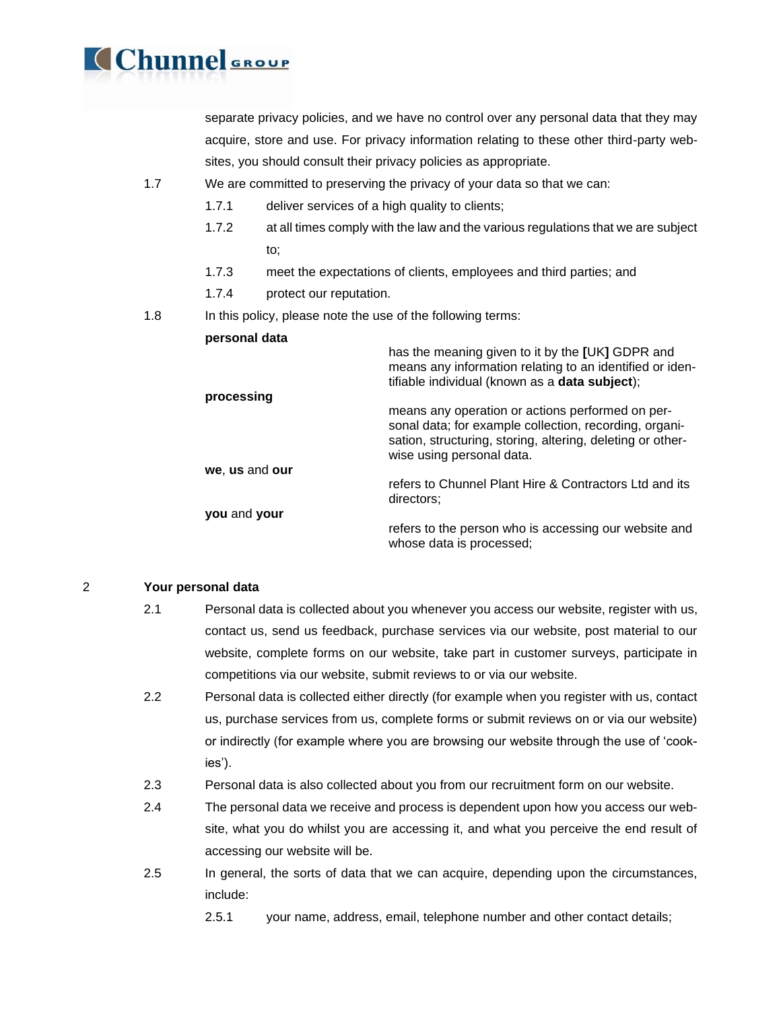

separate privacy policies, and we have no control over any personal data that they may acquire, store and use. For privacy information relating to these other third-party websites, you should consult their privacy policies as appropriate.

- 1.7 We are committed to preserving the privacy of your data so that we can:
	- 1.7.1 deliver services of a high quality to clients;
	- 1.7.2 at all times comply with the law and the various regulations that we are subject to;
	- 1.7.3 meet the expectations of clients, employees and third parties; and
	- 1.7.4 protect our reputation.
- 1.8 In this policy, please note the use of the following terms:

| personal data  |                                                                                                                                                                                                       |
|----------------|-------------------------------------------------------------------------------------------------------------------------------------------------------------------------------------------------------|
|                | has the meaning given to it by the [UK] GDPR and<br>means any information relating to an identified or iden-<br>tifiable individual (known as a data subject);                                        |
| processing     |                                                                                                                                                                                                       |
|                | means any operation or actions performed on per-<br>sonal data; for example collection, recording, organi-<br>sation, structuring, storing, altering, deleting or other-<br>wise using personal data. |
| we, us and our |                                                                                                                                                                                                       |
|                | refers to Chunnel Plant Hire & Contractors Ltd and its<br>directors;                                                                                                                                  |
| you and your   |                                                                                                                                                                                                       |
|                | refers to the person who is accessing our website and<br>whose data is processed;                                                                                                                     |

#### 2 **Your personal data**

- 2.1 Personal data is collected about you whenever you access our website, register with us, contact us, send us feedback, purchase services via our website, post material to our website, complete forms on our website, take part in customer surveys, participate in competitions via our website, submit reviews to or via our website.
- 2.2 Personal data is collected either directly (for example when you register with us, contact us, purchase services from us, complete forms or submit reviews on or via our website) or indirectly (for example where you are browsing our website through the use of 'cookies').
- 2.3 Personal data is also collected about you from our recruitment form on our website.
- 2.4 The personal data we receive and process is dependent upon how you access our website, what you do whilst you are accessing it, and what you perceive the end result of accessing our website will be.
- 2.5 In general, the sorts of data that we can acquire, depending upon the circumstances, include:
	- 2.5.1 your name, address, email, telephone number and other contact details;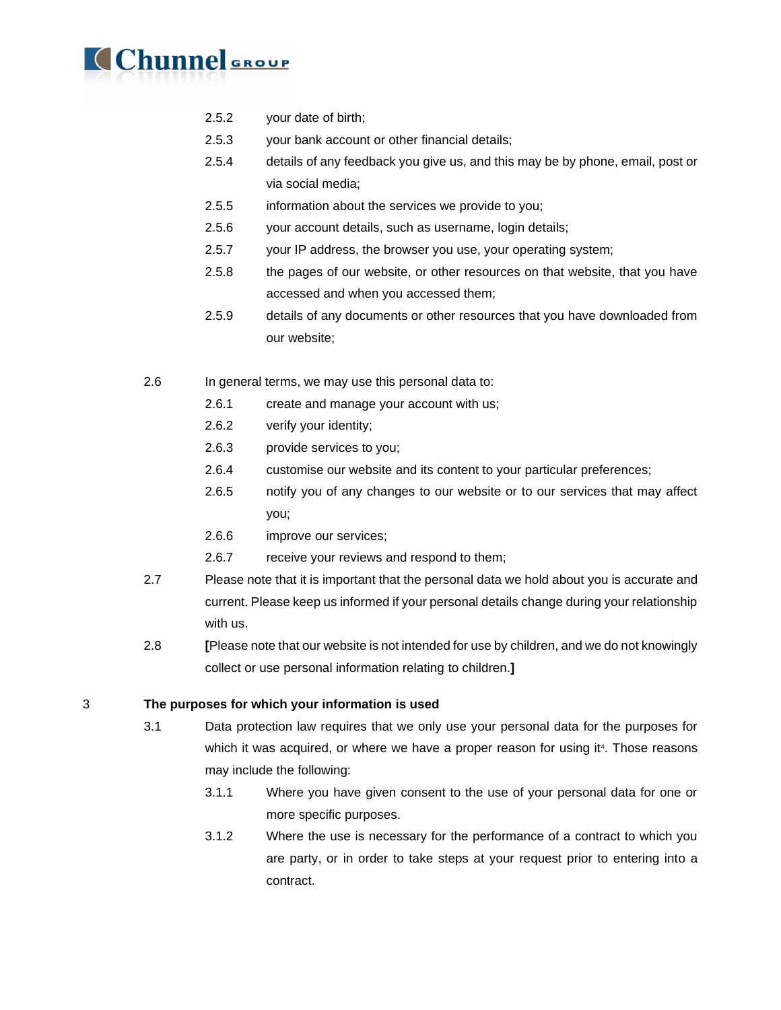

- 2.5.2 your date of birth;
- 2.5.3 your bank account or other financial details;
- 2.5.4 details of any feedback you give us, and this may be by phone, email, post or via social media;
- 2.5.5 information about the services we provide to you;
- 2.5.6 your account details, such as username, login details;
- 2.5.7 your IP address, the browser you use, your operating system;
- 2.5.8 the pages of our website, or other resources on that website, that you have accessed and when you accessed them;
- 2.5.9 details of any documents or other resources that you have downloaded from our website;
- 2.6 In general terms, we may use this personal data to:
	- 2.6.1 create and manage your account with us;
	- 2.6.2 verify your identity;
	- 2.6.3 provide services to you;
	- 2.6.4 customise our website and its content to your particular preferences;
	- 2.6.5 notify you of any changes to our website or to our services that may affect you;
	- 2.6.6 improve our services;
	- 2.6.7 receive your reviews and respond to them;
- 2.7 Please note that it is important that the personal data we hold about you is accurate and current. Please keep us informed if your personal details change during your relationship with us.
- 2.8 **[**Please note that our website is not intended for use by children, and we do not knowingly collect or use personal information relating to children.**]**

3 **The purposes for which your information is used**

- 3.1 Data protection law requires that we only use your personal data for the purposes for which it was acquired, or where we have a proper reason for using it<sup>4</sup>. Those reasons may include the following:
	- 3.1.1 Where you have given consent to the use of your personal data for one or more specific purposes.
	- 3.1.2 Where the use is necessary for the performance of a contract to which you are party, or in order to take steps at your request prior to entering into a contract.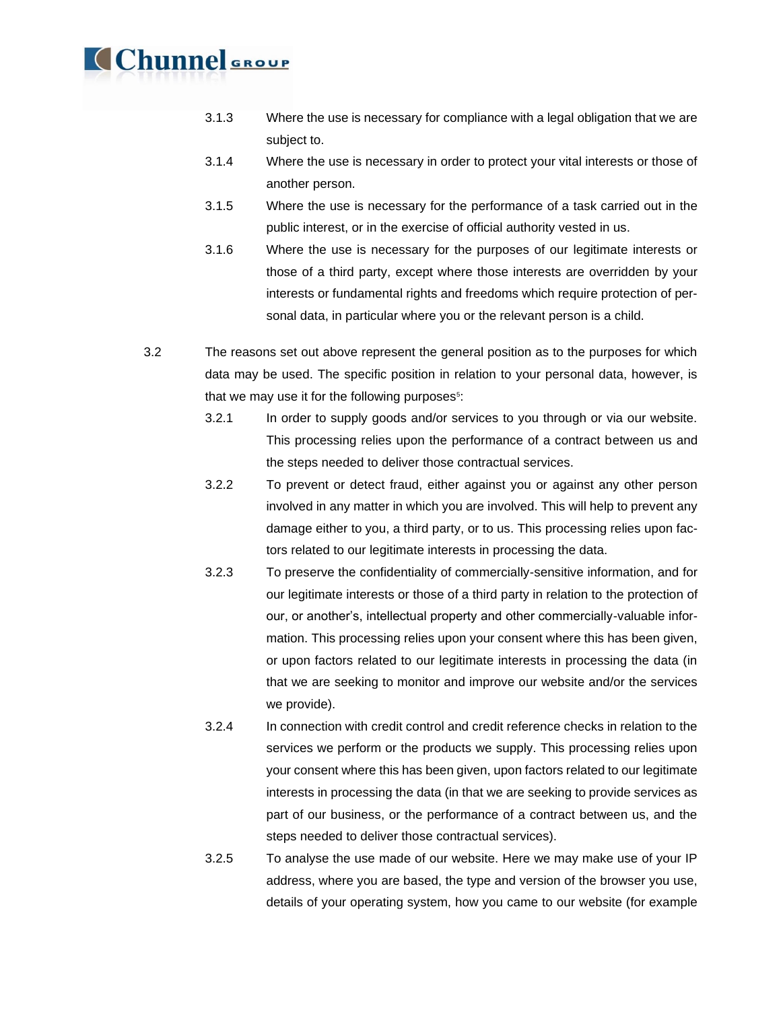- 3.1.3 Where the use is necessary for compliance with a legal obligation that we are subject to.
- 3.1.4 Where the use is necessary in order to protect your vital interests or those of another person.
- 3.1.5 Where the use is necessary for the performance of a task carried out in the public interest, or in the exercise of official authority vested in us.
- 3.1.6 Where the use is necessary for the purposes of our legitimate interests or those of a third party, except where those interests are overridden by your interests or fundamental rights and freedoms which require protection of personal data, in particular where you or the relevant person is a child.
- 3.2 The reasons set out above represent the general position as to the purposes for which data may be used. The specific position in relation to your personal data, however, is that we may use it for the following purposes<sup>5</sup>:
	- 3.2.1 In order to supply goods and/or services to you through or via our website. This processing relies upon the performance of a contract between us and the steps needed to deliver those contractual services.
	- 3.2.2 To prevent or detect fraud, either against you or against any other person involved in any matter in which you are involved. This will help to prevent any damage either to you, a third party, or to us. This processing relies upon factors related to our legitimate interests in processing the data.
	- 3.2.3 To preserve the confidentiality of commercially-sensitive information, and for our legitimate interests or those of a third party in relation to the protection of our, or another's, intellectual property and other commercially-valuable information. This processing relies upon your consent where this has been given, or upon factors related to our legitimate interests in processing the data (in that we are seeking to monitor and improve our website and/or the services we provide).
	- 3.2.4 In connection with credit control and credit reference checks in relation to the services we perform or the products we supply. This processing relies upon your consent where this has been given, upon factors related to our legitimate interests in processing the data (in that we are seeking to provide services as part of our business, or the performance of a contract between us, and the steps needed to deliver those contractual services).
	- 3.2.5 To analyse the use made of our website. Here we may make use of your IP address, where you are based, the type and version of the browser you use, details of your operating system, how you came to our website (for example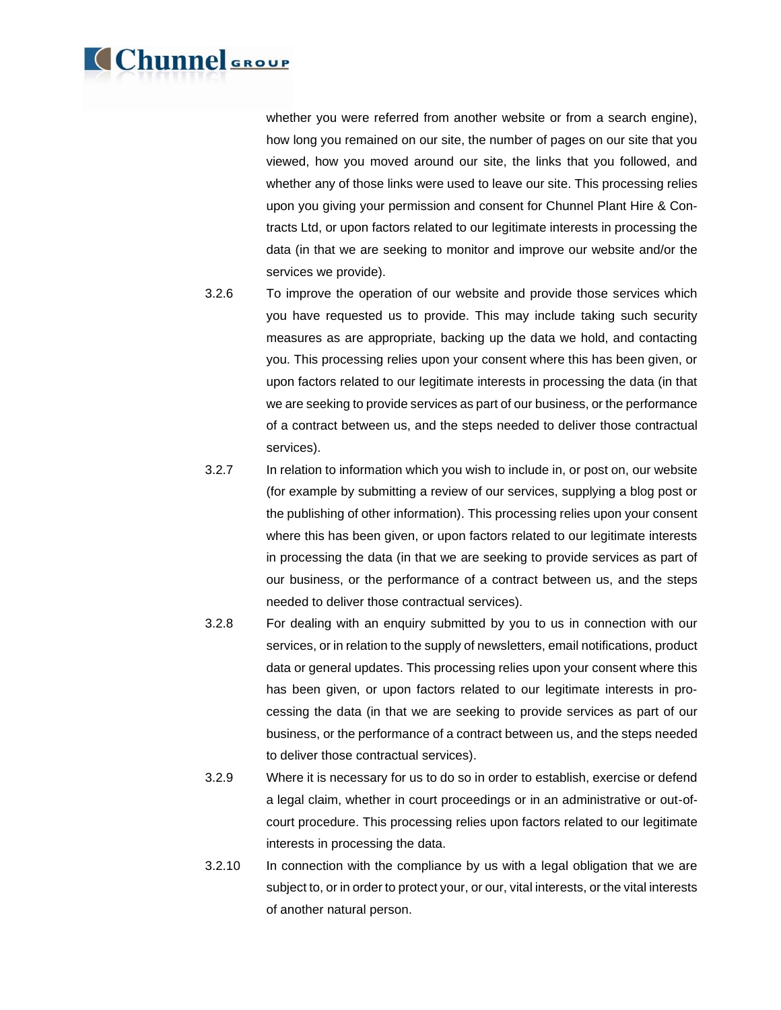whether you were referred from another website or from a search engine), how long you remained on our site, the number of pages on our site that you viewed, how you moved around our site, the links that you followed, and whether any of those links were used to leave our site. This processing relies upon you giving your permission and consent for Chunnel Plant Hire & Contracts Ltd, or upon factors related to our legitimate interests in processing the data (in that we are seeking to monitor and improve our website and/or the services we provide).

- 3.2.6 To improve the operation of our website and provide those services which you have requested us to provide. This may include taking such security measures as are appropriate, backing up the data we hold, and contacting you. This processing relies upon your consent where this has been given, or upon factors related to our legitimate interests in processing the data (in that we are seeking to provide services as part of our business, or the performance of a contract between us, and the steps needed to deliver those contractual services).
- 3.2.7 In relation to information which you wish to include in, or post on, our website (for example by submitting a review of our services, supplying a blog post or the publishing of other information). This processing relies upon your consent where this has been given, or upon factors related to our legitimate interests in processing the data (in that we are seeking to provide services as part of our business, or the performance of a contract between us, and the steps needed to deliver those contractual services).
- 3.2.8 For dealing with an enquiry submitted by you to us in connection with our services, or in relation to the supply of newsletters, email notifications, product data or general updates. This processing relies upon your consent where this has been given, or upon factors related to our legitimate interests in processing the data (in that we are seeking to provide services as part of our business, or the performance of a contract between us, and the steps needed to deliver those contractual services).
- 3.2.9 Where it is necessary for us to do so in order to establish, exercise or defend a legal claim, whether in court proceedings or in an administrative or out-ofcourt procedure. This processing relies upon factors related to our legitimate interests in processing the data.
- 3.2.10 In connection with the compliance by us with a legal obligation that we are subject to, or in order to protect your, or our, vital interests, or the vital interests of another natural person.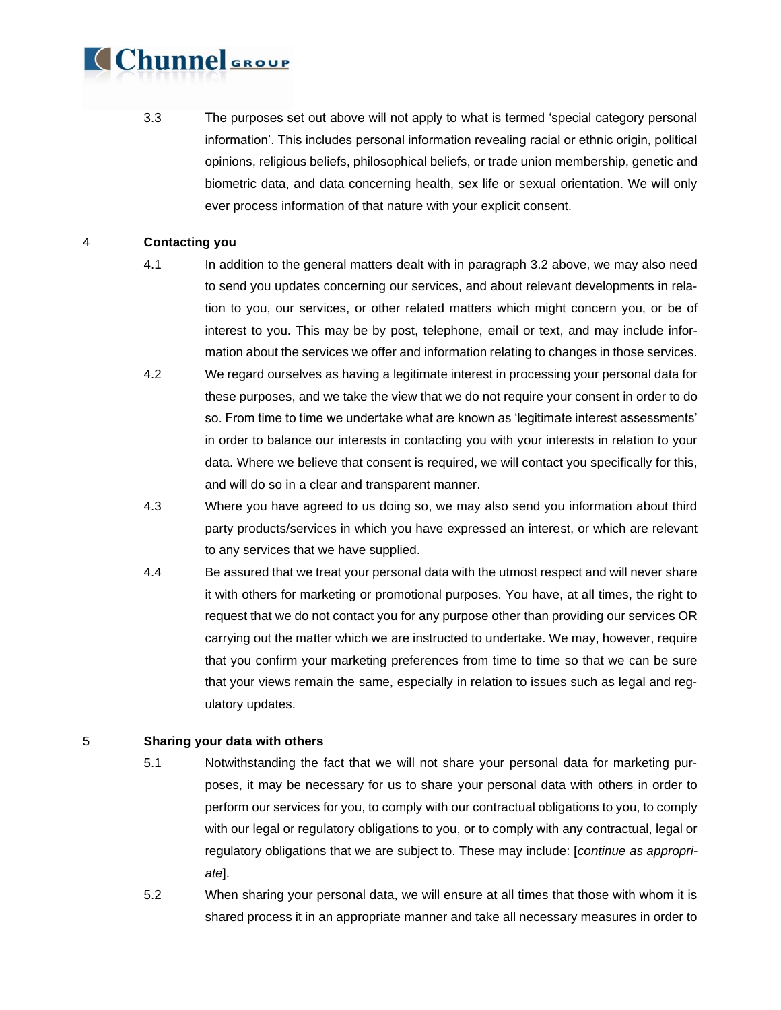3.3 The purposes set out above will not apply to what is termed 'special category personal information'. This includes personal information revealing racial or ethnic origin, political opinions, religious beliefs, philosophical beliefs, or trade union membership, genetic and biometric data, and data concerning health, sex life or sexual orientation. We will only ever process information of that nature with your explicit consent.

### 4 **Contacting you**

- 4.1 In addition to the general matters dealt with in paragraph 3.2 above, we may also need to send you updates concerning our services, and about relevant developments in relation to you, our services, or other related matters which might concern you, or be of interest to you. This may be by post, telephone, email or text, and may include information about the services we offer and information relating to changes in those services.
- 4.2 We regard ourselves as having a legitimate interest in processing your personal data for these purposes, and we take the view that we do not require your consent in order to do so. From time to time we undertake what are known as 'legitimate interest assessments' in order to balance our interests in contacting you with your interests in relation to your data. Where we believe that consent is required, we will contact you specifically for this, and will do so in a clear and transparent manner.
- 4.3 Where you have agreed to us doing so, we may also send you information about third party products/services in which you have expressed an interest, or which are relevant to any services that we have supplied.
- 4.4 Be assured that we treat your personal data with the utmost respect and will never share it with others for marketing or promotional purposes. You have, at all times, the right to request that we do not contact you for any purpose other than providing our services OR carrying out the matter which we are instructed to undertake. We may, however, require that you confirm your marketing preferences from time to time so that we can be sure that your views remain the same, especially in relation to issues such as legal and regulatory updates.

#### 5 **Sharing your data with others**

- 5.1 Notwithstanding the fact that we will not share your personal data for marketing purposes, it may be necessary for us to share your personal data with others in order to perform our services for you, to comply with our contractual obligations to you, to comply with our legal or regulatory obligations to you, or to comply with any contractual, legal or regulatory obligations that we are subject to. These may include: [*continue as appropriate*].
- 5.2 When sharing your personal data, we will ensure at all times that those with whom it is shared process it in an appropriate manner and take all necessary measures in order to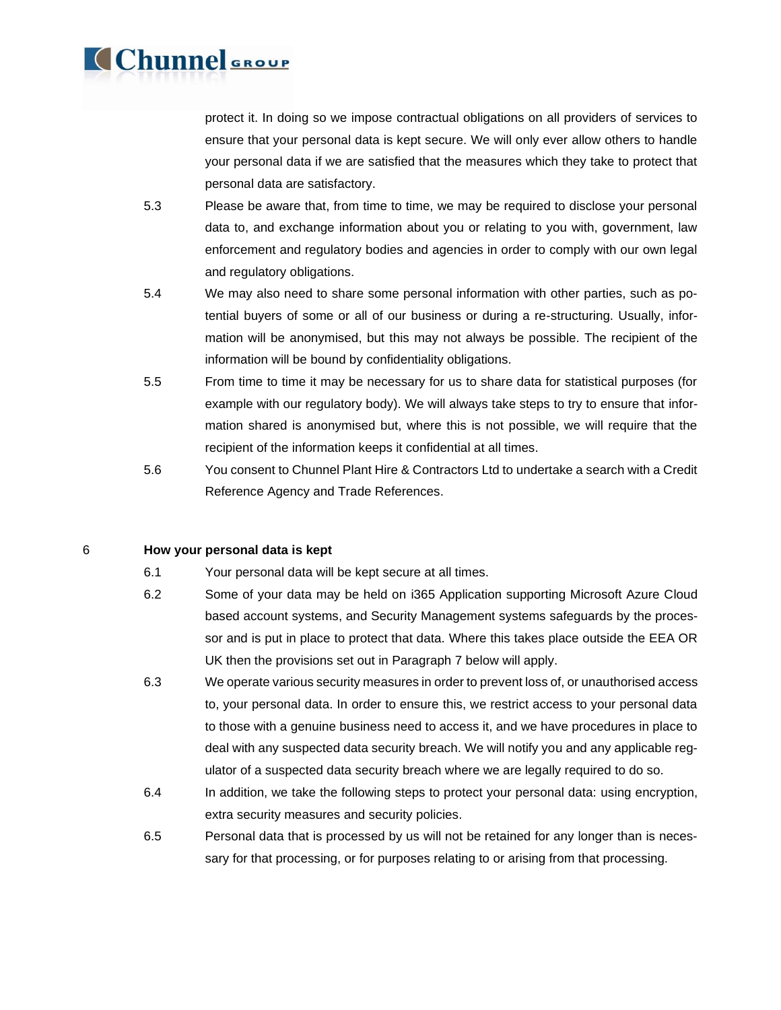protect it. In doing so we impose contractual obligations on all providers of services to ensure that your personal data is kept secure. We will only ever allow others to handle your personal data if we are satisfied that the measures which they take to protect that personal data are satisfactory.

- 5.3 Please be aware that, from time to time, we may be required to disclose your personal data to, and exchange information about you or relating to you with, government, law enforcement and regulatory bodies and agencies in order to comply with our own legal and regulatory obligations.
- 5.4 We may also need to share some personal information with other parties, such as potential buyers of some or all of our business or during a re-structuring. Usually, information will be anonymised, but this may not always be possible. The recipient of the information will be bound by confidentiality obligations.
- 5.5 From time to time it may be necessary for us to share data for statistical purposes (for example with our regulatory body). We will always take steps to try to ensure that information shared is anonymised but, where this is not possible, we will require that the recipient of the information keeps it confidential at all times.
- 5.6 You consent to Chunnel Plant Hire & Contractors Ltd to undertake a search with a Credit Reference Agency and Trade References.

6 **How your personal data is kept**

**Chunnel** GROUP

- 6.1 Your personal data will be kept secure at all times.
- 6.2 Some of your data may be held on i365 Application supporting Microsoft Azure Cloud based account systems, and Security Management systems safeguards by the processor and is put in place to protect that data. Where this takes place outside the EEA OR UK then the provisions set out in Paragraph 7 below will apply.
- 6.3 We operate various security measures in order to prevent loss of, or unauthorised access to, your personal data. In order to ensure this, we restrict access to your personal data to those with a genuine business need to access it, and we have procedures in place to deal with any suspected data security breach. We will notify you and any applicable regulator of a suspected data security breach where we are legally required to do so.
- 6.4 In addition, we take the following steps to protect your personal data: using encryption, extra security measures and security policies.
- 6.5 Personal data that is processed by us will not be retained for any longer than is necessary for that processing, or for purposes relating to or arising from that processing.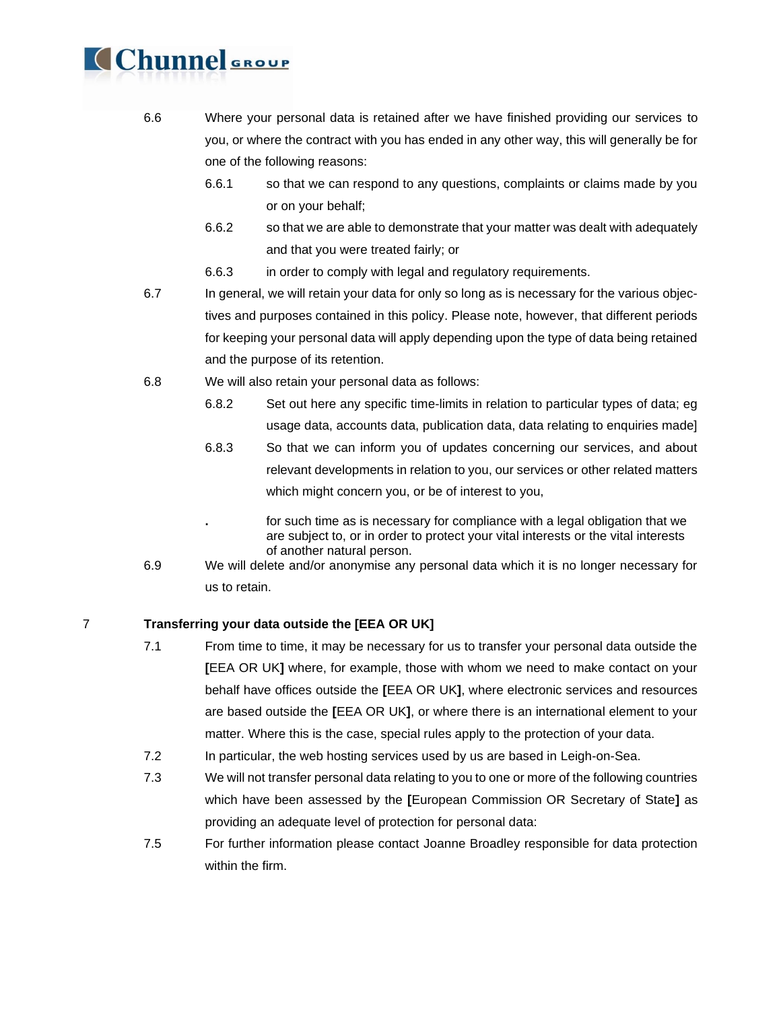- 6.6 Where your personal data is retained after we have finished providing our services to you, or where the contract with you has ended in any other way, this will generally be for one of the following reasons:
	- 6.6.1 so that we can respond to any questions, complaints or claims made by you or on your behalf;
	- 6.6.2 so that we are able to demonstrate that your matter was dealt with adequately and that you were treated fairly; or
	- 6.6.3 in order to comply with legal and regulatory requirements.
- 6.7 In general, we will retain your data for only so long as is necessary for the various objectives and purposes contained in this policy. Please note, however, that different periods for keeping your personal data will apply depending upon the type of data being retained and the purpose of its retention.
- 6.8 We will also retain your personal data as follows:
	- 6.8.2 Set out here any specific time-limits in relation to particular types of data; eg usage data, accounts data, publication data, data relating to enquiries made]
	- 6.8.3 So that we can inform you of updates concerning our services, and about relevant developments in relation to you, our services or other related matters which might concern you, or be of interest to you,
	- **.** for such time as is necessary for compliance with a legal obligation that we are subject to, or in order to protect your vital interests or the vital interests of another natural person.
- 6.9 We will delete and/or anonymise any personal data which it is no longer necessary for us to retain.

### 7 **Transferring your data outside the [EEA OR UK]**

- 7.1 From time to time, it may be necessary for us to transfer your personal data outside the **[**EEA OR UK**]** where, for example, those with whom we need to make contact on your behalf have offices outside the **[**EEA OR UK**]**, where electronic services and resources are based outside the **[**EEA OR UK**]**, or where there is an international element to your matter. Where this is the case, special rules apply to the protection of your data.
- 7.2 In particular, the web hosting services used by us are based in Leigh-on-Sea.
- 7.3 We will not transfer personal data relating to you to one or more of the following countries which have been assessed by the **[**European Commission OR Secretary of State**]** as providing an adequate level of protection for personal data:
- 7.5 For further information please contact Joanne Broadley responsible for data protection within the firm.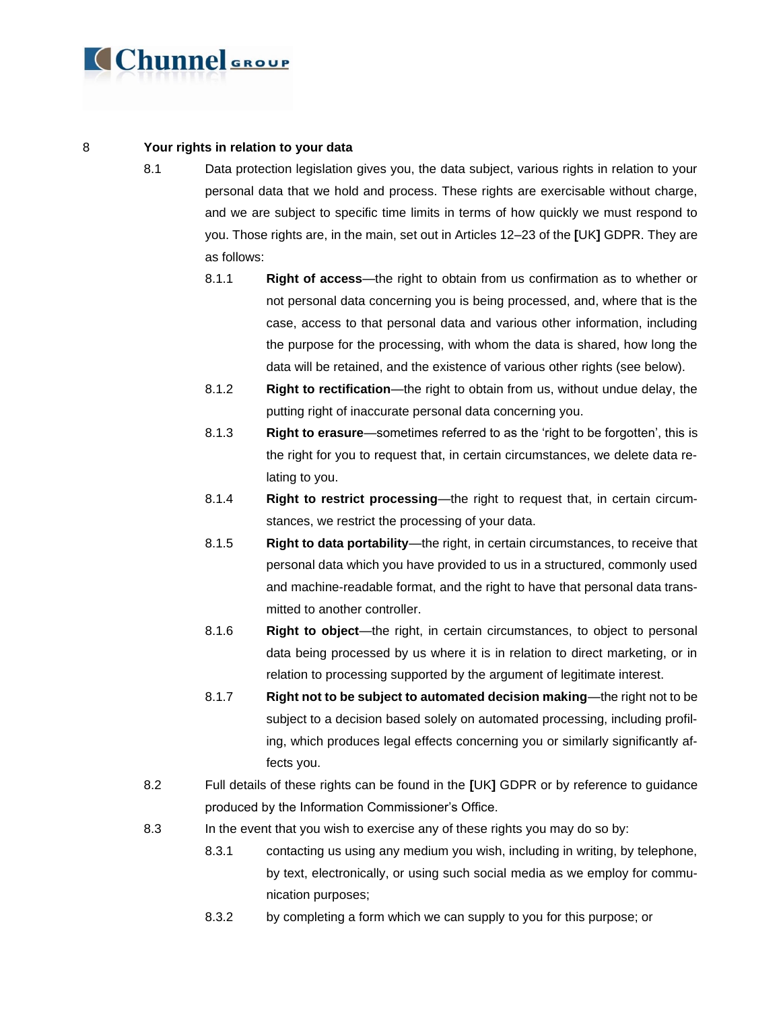

### 8 **Your rights in relation to your data**

- 8.1 Data protection legislation gives you, the data subject, various rights in relation to your personal data that we hold and process. These rights are exercisable without charge, and we are subject to specific time limits in terms of how quickly we must respond to you. Those rights are, in the main, set out in Articles 12–23 of the **[**UK**]** GDPR. They are as follows:
	- 8.1.1 **Right of access**—the right to obtain from us confirmation as to whether or not personal data concerning you is being processed, and, where that is the case, access to that personal data and various other information, including the purpose for the processing, with whom the data is shared, how long the data will be retained, and the existence of various other rights (see below).
	- 8.1.2 **Right to rectification**—the right to obtain from us, without undue delay, the putting right of inaccurate personal data concerning you.
	- 8.1.3 **Right to erasure**—sometimes referred to as the 'right to be forgotten', this is the right for you to request that, in certain circumstances, we delete data relating to you.
	- 8.1.4 **Right to restrict processing**—the right to request that, in certain circumstances, we restrict the processing of your data.
	- 8.1.5 **Right to data portability**—the right, in certain circumstances, to receive that personal data which you have provided to us in a structured, commonly used and machine-readable format, and the right to have that personal data transmitted to another controller.
	- 8.1.6 **Right to object**—the right, in certain circumstances, to object to personal data being processed by us where it is in relation to direct marketing, or in relation to processing supported by the argument of legitimate interest.
	- 8.1.7 **Right not to be subject to automated decision making**—the right not to be subject to a decision based solely on automated processing, including profiling, which produces legal effects concerning you or similarly significantly affects you.
- 8.2 Full details of these rights can be found in the **[**UK**]** GDPR or by reference to guidance produced by the Information Commissioner's Office.
- 8.3 In the event that you wish to exercise any of these rights you may do so by:
	- 8.3.1 contacting us using any medium you wish, including in writing, by telephone, by text, electronically, or using such social media as we employ for communication purposes;
	- 8.3.2 by completing a form which we can supply to you for this purpose; or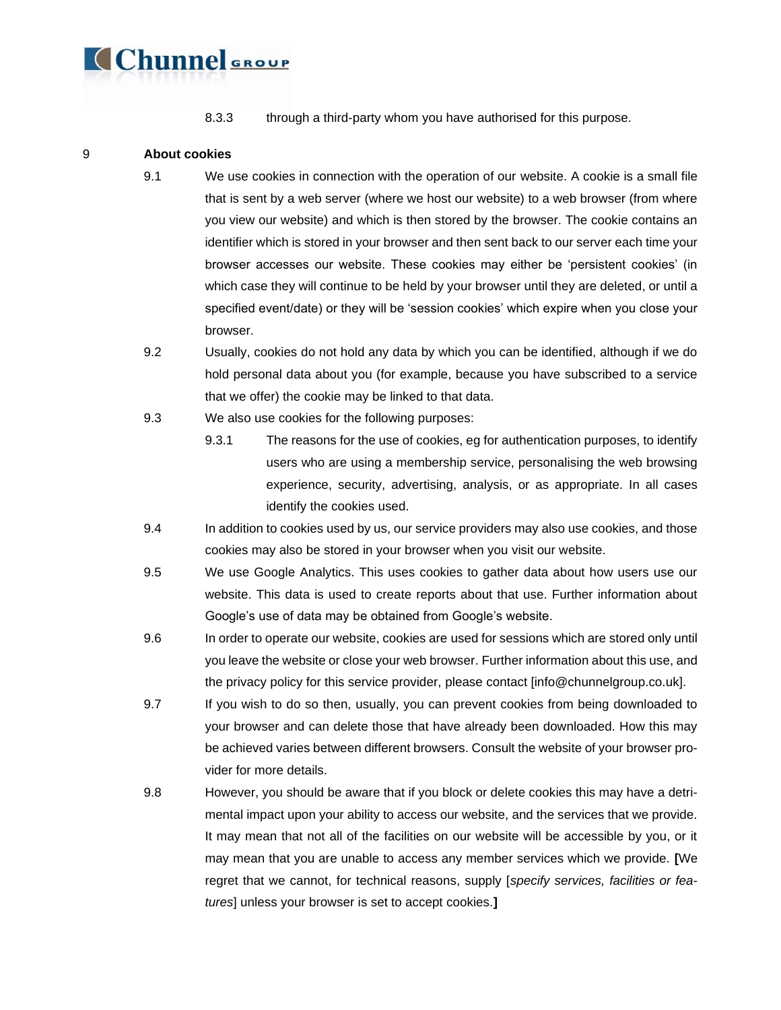

8.3.3 through a third-party whom you have authorised for this purpose.

### 9 **About cookies**

- 9.1 We use cookies in connection with the operation of our website. A cookie is a small file that is sent by a web server (where we host our website) to a web browser (from where you view our website) and which is then stored by the browser. The cookie contains an identifier which is stored in your browser and then sent back to our server each time your browser accesses our website. These cookies may either be 'persistent cookies' (in which case they will continue to be held by your browser until they are deleted, or until a specified event/date) or they will be 'session cookies' which expire when you close your browser.
- 9.2 Usually, cookies do not hold any data by which you can be identified, although if we do hold personal data about you (for example, because you have subscribed to a service that we offer) the cookie may be linked to that data.
- 9.3 We also use cookies for the following purposes:
	- 9.3.1 The reasons for the use of cookies, eg for authentication purposes, to identify users who are using a membership service, personalising the web browsing experience, security, advertising, analysis, or as appropriate. In all cases identify the cookies used.
- 9.4 In addition to cookies used by us, our service providers may also use cookies, and those cookies may also be stored in your browser when you visit our website.
- 9.5 We use Google Analytics. This uses cookies to gather data about how users use our website. This data is used to create reports about that use. Further information about Google's use of data may be obtained from Google's website.
- 9.6 In order to operate our website, cookies are used for sessions which are stored only until you leave the website or close your web browser. Further information about this use, and the privacy policy for this service provider, please contact [info@chunnelgroup.co.uk].
- 9.7 If you wish to do so then, usually, you can prevent cookies from being downloaded to your browser and can delete those that have already been downloaded. How this may be achieved varies between different browsers. Consult the website of your browser provider for more details.
- 9.8 However, you should be aware that if you block or delete cookies this may have a detrimental impact upon your ability to access our website, and the services that we provide. It may mean that not all of the facilities on our website will be accessible by you, or it may mean that you are unable to access any member services which we provide. **[**We regret that we cannot, for technical reasons, supply [*specify services, facilities or features*] unless your browser is set to accept cookies.**]**